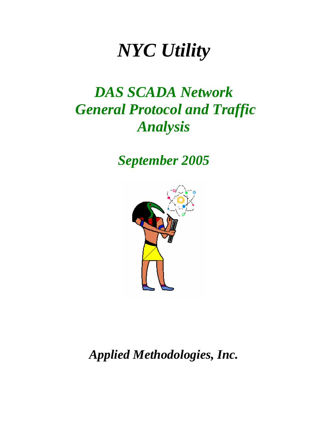# *NYC Utility*

## *DAS SCADA Network General Protocol and Traffic Analysis*

*September 2005*



*Applied Methodologies, Inc.*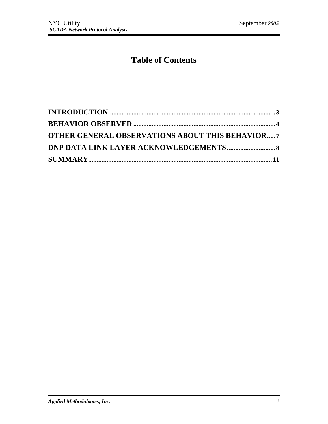### **Table of Contents**

| <b>OTHER GENERAL OBSERVATIONS ABOUT THIS BEHAVIOR7</b> |  |
|--------------------------------------------------------|--|
|                                                        |  |
|                                                        |  |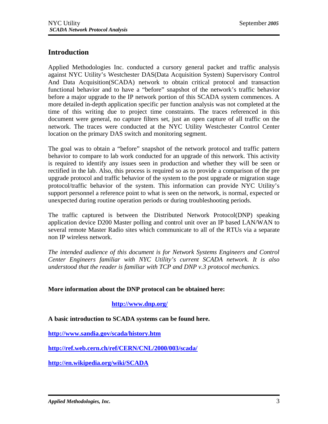#### **Introduction**

Applied Methodologies Inc. conducted a cursory general packet and traffic analysis against NYC Utility's Westchester DAS(Data Acquisition System) Supervisory Control And Data Acquisition(SCADA) network to obtain critical protocol and transaction functional behavior and to have a "before" snapshot of the network's traffic behavior before a major upgrade to the IP network portion of this SCADA system commences. A more detailed in-depth application specific per function analysis was not completed at the time of this writing due to project time constraints. The traces referenced in this document were general, no capture filters set, just an open capture of all traffic on the network. The traces were conducted at the NYC Utility Westchester Control Center location on the primary DAS switch and monitoring segment.

The goal was to obtain a "before" snapshot of the network protocol and traffic pattern behavior to compare to lab work conducted for an upgrade of this network. This activity is required to identify any issues seen in production and whether they will be seen or rectified in the lab. Also, this process is required so as to provide a comparison of the pre upgrade protocol and traffic behavior of the system to the post upgrade or migration stage protocol/traffic behavior of the system. This information can provide NYC Utility's support personnel a reference point to what is seen on the network, is normal, expected or unexpected during routine operation periods or during troubleshooting periods.

The traffic captured is between the Distributed Network Protocol(DNP) speaking application device D200 Master polling and control unit over an IP based LAN/WAN to several remote Master Radio sites which communicate to all of the RTUs via a separate non IP wireless network.

*The intended audience of this document is for Network Systems Engineers and Control Center Engineers familiar with NYC Utility's current SCADA network. It is also understood that the reader is familiar with TCP and DNP v.3 protocol mechanics.*

#### **More information about the DNP protocol can be obtained here:**

#### **<http://www.dnp.or>g/**

**A basic introduction to SCADA systems can be found here.**

**[http://www.sandia.gov/scada/history.ht](http://www.sandia.gov/scada/history.htm)m**

**<http://ref.web.cern.ch/ref/>CERN/CNL/2000/003/scada/**

**<http://en.wikipedia.org/wiki/SCADA>**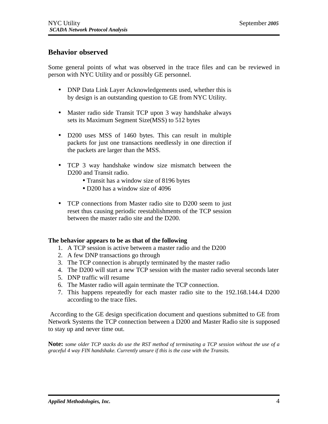#### **Behavior observed**

Some general points of what was observed in the trace files and can be reviewed in person with NYC Utility and or possibly GE personnel.

- DNP Data Link Layer Acknowledgements used, whether this is by design is an outstanding question to GE from NYC Utility.
- Master radio side Transit TCP upon 3 way handshake always sets its Maximum Segment Size(MSS) to 512 bytes
- D200 uses MSS of 1460 bytes. This can result in multiple packets for just one transactions needlessly in one direction if the packets are larger than the MSS.
- TCP 3 way handshake window size mismatch between the D<sub>200</sub> and Transit radio.
	- Transit has a window size of 8196 bytes
	- D200 has a window size of 4096
- TCP connections from Master radio site to D200 seem to just reset thus causing periodic reestablishments of the TCP session between the master radio site and the D200.

#### **The behavior appears to be as that of the following**

- 1. A TCP session is active between a master radio and the D200
- 2. A few DNP transactions go through
- 3. The TCP connection is abruptly terminated by the master radio
- 4. The D200 will start a new TCP session with the master radio several seconds later
- 5. DNP traffic will resume
- 6. The Master radio will again terminate the TCP connection.
- 7. This happens repeatedly for each master radio site to the 192.168.144.4 D200 according to the trace files.

 According to the GE design specification document and questions submitted to GE from Network Systems the TCP connection between a D200 and Master Radio site is supposed to stay up and never time out.

**Note:** *some older TCP stacks do use the RST method of terminating a TCP session without the use of a graceful 4 way FIN handshake. Currently unsure if this is the case with the Transits.*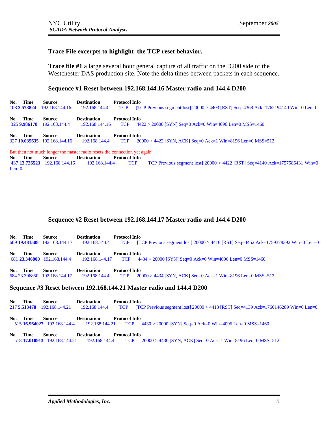Len=0

#### **Trace File excerpts to highlight the TCP reset behavior.**

**Trace file #1** a large several hour general capture of all traffic on the D200 side of the Westchester DAS production site. Note the delta times between packets in each sequence.

#### **Sequence #1 Reset between 192.168.144.16 Master radio and 144.4 D200**

| No. | Time<br>108 3.573824     | Source<br>192.168.144.16               | <b>Destination</b><br>192.168.144.4                                       | <b>Protocol Info</b><br><b>TCP</b> | [TCP Previous segment lost] $20000 > 4403$ [RST] Seq=4368 Ack=1762194140 Win=0 Len=0 |
|-----|--------------------------|----------------------------------------|---------------------------------------------------------------------------|------------------------------------|--------------------------------------------------------------------------------------|
|     | No. Time<br>325 9.986178 | Source<br>192.168.144.4                | <b>Destination</b><br>192.168.144.16                                      | <b>Protocol Info</b><br><b>TCP</b> | $4422 > 20000$ [SYN] Seq=0 Ack=0 Win=4096 Len=0 MSS=1460                             |
|     | No. Time                 | Source<br>327 10.035635 192.168.144.16 | <b>Destination</b><br>192.168.144.4                                       | <b>Protocol Info</b><br><b>TCP</b> | $20000 > 4422$ [SYN, ACK] Seq=0 Ack=1 Win=8196 Len=0 MSS=512                         |
|     |                          |                                        | But then not much longer the master radio resets the connection yet again |                                    |                                                                                      |
|     | No. Time                 | Source                                 | <b>Destination</b>                                                        | <b>Protocol Info</b>               |                                                                                      |
|     |                          | 437 13.726523 192.168.144.16           | 192.168.144.4                                                             | <b>TCP</b>                         | [TCP Previous segment lost] $20000 > 4422$ [RST] Seq=4140 Ack=1757586431 Win=0       |

#### **Sequence #2 Reset between 192.168.144.17 Master radio and 144.4 D200**

| No. Time                                                             | Source                                | <b>Destination</b><br>609 19.481508 192.168.144.17 192.168.144.4 TCP | <b>Protocol Info</b><br>[TCP Previous segment lost] $20000 > 4416$ [RST] Seq=4452 Ack=1759378392 Win=0 Len=0 |  |  |  |
|----------------------------------------------------------------------|---------------------------------------|----------------------------------------------------------------------|--------------------------------------------------------------------------------------------------------------|--|--|--|
| No. Time                                                             | Source<br>681 23.346800 192.168.144.4 | <b>Destination</b><br>192.168.144.17 TCP                             | <b>Protocol Info</b><br>$4434 > 20000$ [SYN] Seq=0 Ack=0 Win=4096 Len=0 MSS=1460                             |  |  |  |
| No. Time                                                             | Source                                | <b>Destination</b><br>684 23.396850 192.168.144.17 192.168.144.4 TCP | <b>Protocol Info</b><br>$20000 > 4434$ [SYN, ACK] Seq=0 Ack=1 Win=8196 Len=0 MSS=512                         |  |  |  |
| Sequence #3 Reset between 192.168.144.21 Master radio and 144.4 D200 |                                       |                                                                      |                                                                                                              |  |  |  |

| Time        | <b>Source</b>                | <b>Destination</b> | <b>Protocol Info</b> | [TCP Previous segment lost] $20000 > 4413$ [RST] Seq=4139 Ack=1760146289 Win=0 Len=0                  |
|-------------|------------------------------|--------------------|----------------------|-------------------------------------------------------------------------------------------------------|
| No.         | 217 5.513478 192.168.144.21  | 192.168.144.4      | <b>TCP</b>           |                                                                                                       |
| Time<br>No. | <b>Source</b>                | <b>Destination</b> | <b>Protocol Info</b> | 515 16.964027 192.168.144.4 192.168.144.21 TCP 4430 > 20000 [SYN] Seq=0 Ack=0 Win=4096 Len=0 MSS=1460 |
| Time        | Source                       | <b>Destination</b> | <b>Protocol Info</b> | $20000 > 4430$ [SYN, ACK] Seq=0 Ack=1 Win=8196 Len=0 MSS=512                                          |
| No.         | 518 17.010913 192.168.144.21 | 192.168.144.4      | <b>TCP</b>           |                                                                                                       |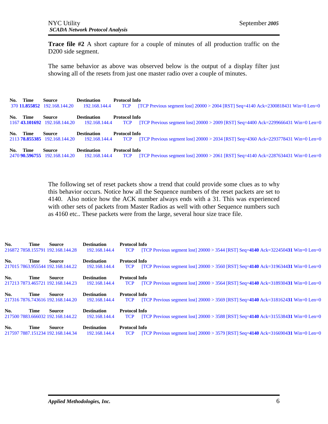**Trace file #2** A short capture for a couple of minutes of all production traffic on the D<sub>200</sub> side segment.

The same behavior as above was observed below is the output of a display filter just showing all of the resets from just one master radio over a couple of minutes.

| No. | Time | <b>Source</b><br>370 11.855852 192.168.144.20  | <b>Destination</b><br>192.168.144.4 | <b>Protocol Info</b><br><b>TCP</b> | [TCP Previous segment lost] $20000 > 2004$ [RST] Seq=4140 Ack=2300818431 Win=0 Len=0 |
|-----|------|------------------------------------------------|-------------------------------------|------------------------------------|--------------------------------------------------------------------------------------|
| No. | Time | <b>Source</b><br>1167 43.101692 192.168.144.20 | <b>Destination</b><br>192.168.144.4 | <b>Protocol Info</b><br><b>TCP</b> | [TCP Previous segment lost] $20000 > 2009$ [RST] Seq=4400 Ack=2299666431 Win=0 Len=0 |
| No. | Time | <b>Source</b><br>2113 78.855385 192.168.144.20 | <b>Destination</b><br>192.168.144.4 | <b>Protocol Info</b><br><b>TCP</b> | [TCP Previous segment lost] $20000 > 2034$ [RST] Seq=4360 Ack=2293778431 Win=0 Len=0 |
| No. | Time | <b>Source</b><br>2470 90.596755 192.168.144.20 | <b>Destination</b><br>192.168.144.4 | <b>Protocol Info</b><br><b>TCP</b> | [TCP Previous segment lost] $20000 > 2061$ [RST] Seg=4140 Ack=2287634431 Win=0 Len=0 |

The following set of reset packets show a trend that could provide some clues as to why this behavior occurs. Notice how all the Sequence numbers of the reset packets are set to 4140. Also notice how the ACK number always ends with a 31. This was experienced with other sets of packets from Master Radios as well with other Sequence numbers such as 4160 etc.. These packets were from the large, several hour size trace file.

| No. | <b>Time</b> | Source<br>216872 7858.155791 192.168.144.28        | <b>Destination</b><br>192.168.144.4 | <b>Protocol Info</b><br>[TCP Previous segment lost] $20000 > 3544$ [RST] Seq=4140 Ack=322450431 Win=0 Len=0<br><b>TCP</b> |
|-----|-------------|----------------------------------------------------|-------------------------------------|---------------------------------------------------------------------------------------------------------------------------|
| No. | <b>Time</b> | Source<br>217015 7863.955544 192.168.144.22        | <b>Destination</b><br>192.168.144.4 | <b>Protocol Info</b><br>[TCP Previous segment lost] $20000 > 3560$ [RST] Seq=4140 Ack=319634431 Win=0 Len=0<br><b>TCP</b> |
| No. | <b>Time</b> | <b>Source</b><br>217213 7873.465721 192.168.144.23 | <b>Destination</b><br>192.168.144.4 | <b>Protocol Info</b><br>[TCP Previous segment lost] $20000 > 3564$ [RST] Seq=4140 Ack=318930431 Win=0 Len=0<br><b>TCP</b> |
| No. | <b>Time</b> | <b>Source</b>                                      | <b>Destination</b>                  | <b>Protocol Info</b>                                                                                                      |
|     |             | 217316 7876.743616 192.168.144.20                  | 192.168.144.4                       | [TCP Previous segment lost] $20000 > 3569$ [RST] Seq=4140 Ack=318162431 Win=0 Len=0<br><b>TCP</b>                         |
| No. | <b>Time</b> | <b>Source</b><br>217500 7883.666032 192.168.144.22 | <b>Destination</b><br>192.168.144.4 | <b>Protocol Info</b><br>[TCP Previous segment lost] $20000 > 3588$ [RST] Seq=4140 Ack=315538431 Win=0 Len=0<br><b>TCP</b> |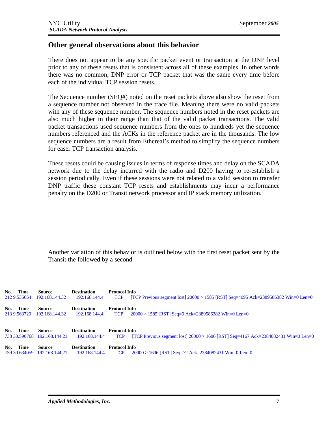#### **Other general observations about this behavior**

There does not appear to be any specific packet event or transaction at the DNP level prior to any of these resets that is consistent across all of these examples. In other words there was no common, DNP error or TCP packet that was the same every time before each of the individual TCP session resets.

The Sequence number (SEQ#) noted on the reset packets above also show the reset from a sequence number not observed in the trace file. Meaning there were no valid packets with any of these sequence number. The sequence numbers noted in the reset packets are also much higher in their range than that of the valid packet transactions. The valid packet transactions used sequence numbers from the ones to hundreds yet the sequence numbers referenced and the ACKs in the reference packet are in the thousands. The low sequence numbers are a result from Ethereal's method to simplify the sequence numbers for easer TCP transaction analysis.

These resets could be causing issues in terms of response times and delay on the SCADA network due to the delay incurred with the radio and D200 having to re-establish a session periodically. Even if these sessions were not related to a valid session to transfer DNP traffic these constant TCP resets and establishments may incur a performance penalty on the D200 or Transit network processor and IP stack memory utilization.

Another variation of this behavior is outlined below with the first reset packet sent by the Transit the followed by a second

| No. Time<br>212 9.535654 | <b>Source</b><br>192.168.144.32               | <b>Destination</b><br>192.168.144.4 | <b>Protocol Info</b><br>[TCP Previous segment lost] $20000 > 1585$ [RST] Seq=4095 Ack=2389586382 Win=0 Len=0<br><b>TCP</b> |
|--------------------------|-----------------------------------------------|-------------------------------------|----------------------------------------------------------------------------------------------------------------------------|
| No. Time<br>213 9.563729 | <b>Source</b><br>192.168.144.32               | <b>Destination</b><br>192.168.144.4 | <b>Protocol Info</b><br>$20000 > 1585$ [RST] Seq=0 Ack=2389586382 Win=0 Len=0<br><b>TCP</b>                                |
| No. Time                 | Source<br>738 30.590768 192.168.144.21        | <b>Destination</b><br>192.168.144.4 | <b>Protocol Info</b><br>[TCP Previous segment lost] $20000 > 1606$ [RST] Seq=4167 Ack=2384082431 Win=0 Len=0<br><b>TCP</b> |
| No. Time                 | <b>Source</b><br>739 30.634059 192.168.144.21 | <b>Destination</b><br>192.168.144.4 | <b>Protocol Info</b><br>$20000 > 1606$ [RST] Seq=72 Ack=2384082431 Win=0 Len=0<br><b>TCP</b>                               |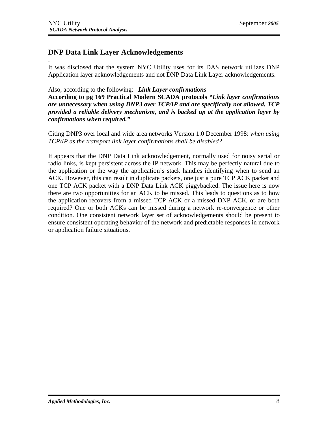.

#### **DNP Data Link Layer Acknowledgements**

It was disclosed that the system NYC Utility uses for its DAS network utilizes DNP Application layer acknowledgements and not DNP Data Link Layer acknowledgements.

Also, according to the following: *Link Layer confirmations* 

**According to pg 169 Practical Modern SCADA protocols** *"Link layer confirmations are unnecessary when using DNP3 over TCP/IP and are specifically not allowed. TCP provided a reliable delivery mechanism, and is backed up at the application layer by confirmations when required."*

Citing DNP3 over local and wide area networks Version 1.0 December 1998: *when using TCP/IP as the transport link layer confirmations shall be disabled?*

It appears that the DNP Data Link acknowledgement, normally used for noisy serial or radio links, is kept persistent across the IP network. This may be perfectly natural due to the application or the way the application's stack handles identifying when to send an ACK. However, this can result in duplicate packets, one just a pure TCP ACK packet and one TCP ACK packet with a DNP Data Link ACK piggybacked. The issue here is now there are two opportunities for an ACK to be missed. This leads to questions as to how the application recovers from a missed TCP ACK or a missed DNP ACK, or are both required? One or both ACKs can be missed during a network re-convergence or other condition. One consistent network layer set of acknowledgements should be present to ensure consistent operating behavior of the network and predictable responses in network or application failure situations.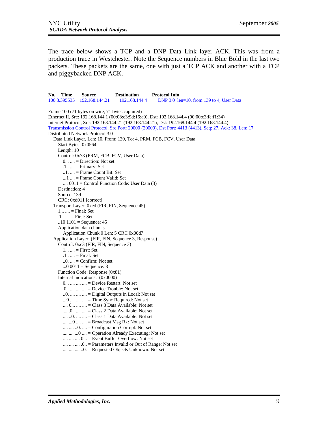The trace below shows a TCP and a DNP Data Link layer ACK. This was from a production trace in Westchester. Note the Sequence numbers in Blue Bold in the last two packets. These packets are the same, one with just a TCP ACK and another with a TCP and piggybacked DNP ACK.

**No. Time Source Destination Protocol Info** 100 3.395535 192.168.144.21 192.168.144.4 DNP 3.0 len=10, from 139 to 4, User Data Frame 100 (71 bytes on wire, 71 bytes captured) Ethernet II, Src: 192.168.144.1 (00:08:e3:9d:16:a0), Dst: 192.168.144.4 (00:00:c3:fe:f1:34) Internet Protocol, Src: 192.168.144.21 (192.168.144.21), Dst: 192.168.144.4 (192.168.144.4) Transmission Control Protocol, Src Port: 20000 (20000), Dst Port: 4413 (4413), Seq: 27, Ack: 38, Len: 17 Distributed Network Protocol 3.0 Data Link Layer, Len: 10, From: 139, To: 4, PRM, FCB, FCV, User Data Start Bytes: 0x0564 Length: 10 Control: 0x73 (PRM, FCB, FCV, User Data) 0... .... = Direction: Not set .1.. .... = Primary: Set  $...1$ .  $...$  = Frame Count Bit: Set  $...1$   $...$  = Frame Count Valid: Set ....  $0011 =$  Control Function Code: User Data  $(3)$  Destination: 4 Source: 139 CRC: 0xd011 [correct] Transport Layer: 0xed (FIR, FIN, Sequence 45) 1... .... = Final: Set .1.. .... = First: Set  $.10$  1101 = Sequence: 45 Application data chunks Application Chunk 0 Len: 5 CRC 0x00d7 Application Layer: (FIR, FIN, Sequence 3, Response) Control: 0xc3 (FIR, FIN, Sequence 3) 1... .... = First: Set  $.1... =$  Final: Set  $.0. \ldots$  = Confirm: Not set  $...00011 = \text{Sequence: } 3$  Function Code: Response (0x81) Internal Indications: (0x0000) 0... .... .... .... = Device Restart: Not set .0.. .... .... .... = Device Trouble: Not set ..0. .... .... .... = Digital Outputs in Local: Not set  $...0$  ....  $...$   $...$  = Time Sync Required: Not set .... 0... .... .... = Class 3 Data Available: Not set .... .0.. .... .... = Class 2 Data Available: Not set .... ..0. .... .... = Class 1 Data Available: Not set  $... \ldots 0 \ldots ... =$  Broadcast Msg Rx: Not set  $... \ldots ... \ldots 0$ .  $... =$  Configuration Corrupt: Not set .... .... ...0 .... = Operation Already Executing: Not set .... .... .... 0... = Event Buffer Overflow: Not set .... .... .... .0.. = Parameters Invalid or Out of Range: Not set .... .... .... ..0. = Requested Objects Unknown: Not set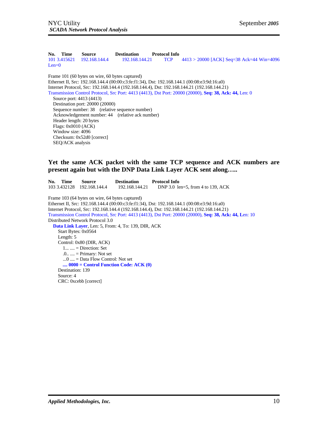**No. Time Source Destination Protocol Info** 101 3.415621 192.168.144.4 192.168.144.21 TCP 4413 > 20000 [ACK] Seq=38 Ack=44 Win=4096  $Len=0$ Frame 101 (60 bytes on wire, 60 bytes captured) Ethernet II, Src: 192.168.144.4 (00:00:c3:fe:f1:34), Dst: 192.168.144.1 (00:08:e3:9d:16:a0) Internet Protocol, Src: 192.168.144.4 (192.168.144.4), Dst: 192.168.144.21 (192.168.144.21) Transmission Control Protocol, Src Port: 4413 (4413), Dst Port: 20000 (20000), **Seq: 38, Ack: 44,** Len: 0 Source port: 4413 (4413) Destination port: 20000 (20000) Sequence number: 38 (relative sequence number) Acknowledgement number: 44 (relative ack number) Header length: 20 bytes Flags: 0x0010 (ACK) Window size: 4096 Checksum: 0x52d0 [correct] SEQ/ACK analysis

#### **Yet the same ACK packet with the same TCP sequence and ACK numbers are present again but with the DNP Data Link Layer ACK sent along…..**

**No. Time Source Destination Protocol Info**<br>103 3.432128 192.168.144.4 192.168.144.21 DNP 3.0 le DNP 3.0 len=5, from 4 to 139, ACK Frame 103 (64 bytes on wire, 64 bytes captured) Ethernet II, Src: 192.168.144.4 (00:00:c3:fe:f1:34), Dst: 192.168.144.1 (00:08:e3:9d:16:a0) Internet Protocol, Src: 192.168.144.4 (192.168.144.4), Dst: 192.168.144.21 (192.168.144.21) Transmission Control Protocol, Src Port: 4413 (4413), Dst Port: 20000 (20000), **Seq: 38, Ack: 44, L**en: 10 Distributed Network Protocol 3.0 **Data Link Layer**, Len: 5, From: 4, To: 139, DIR, ACK Start Bytes: 0x0564 Length: 5 Control: 0x80 (DIR, ACK)  $1... \ldots =$  Direction: Set  $.0... =$  Primary: Not set ...0 .... = Data Flow Control: Not set **.... 0000 = Control Function Code: ACK (0)** Destination: 139 Source: 4 CRC: 0xcebb [correct]